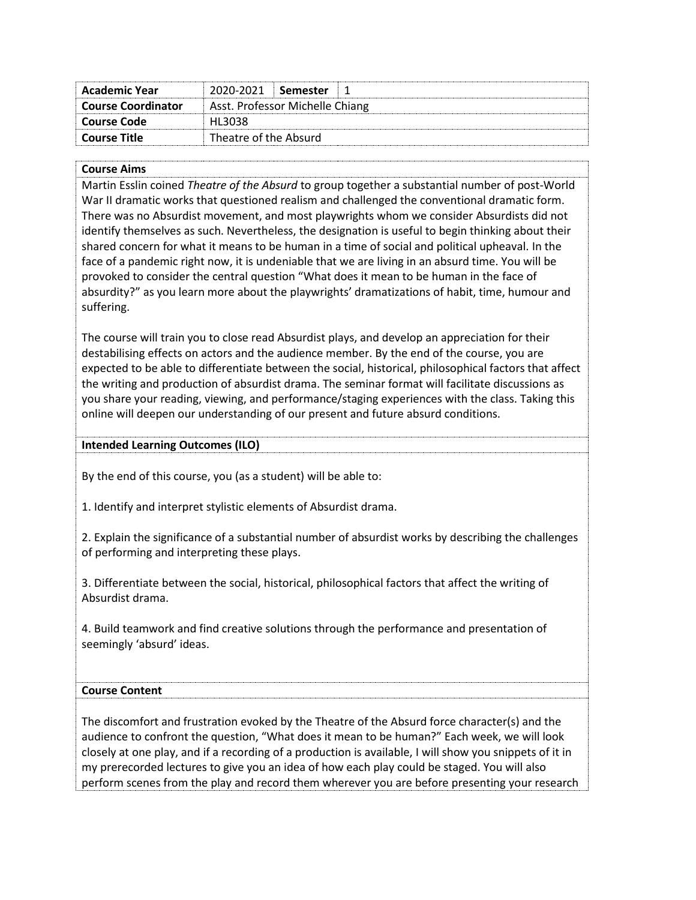| Academic Year             | 2020-2021                       | ∣ Semester |
|---------------------------|---------------------------------|------------|
| <b>Course Coordinator</b> | Asst. Professor Michelle Chiang |            |
| Course Code               | HL3038                          |            |
| Course Title              | Theatre of the Absurd           |            |

#### **Course Aims**

Martin Esslin coined *Theatre of the Absurd* to group together a substantial number of post-World War II dramatic works that questioned realism and challenged the conventional dramatic form. There was no Absurdist movement, and most playwrights whom we consider Absurdists did not identify themselves as such. Nevertheless, the designation is useful to begin thinking about their shared concern for what it means to be human in a time of social and political upheaval. In the face of a pandemic right now, it is undeniable that we are living in an absurd time. You will be provoked to consider the central question "What does it mean to be human in the face of absurdity?" as you learn more about the playwrights' dramatizations of habit, time, humour and suffering.

The course will train you to close read Absurdist plays, and develop an appreciation for their destabilising effects on actors and the audience member. By the end of the course, you are expected to be able to differentiate between the social, historical, philosophical factors that affect the writing and production of absurdist drama. The seminar format will facilitate discussions as you share your reading, viewing, and performance/staging experiences with the class. Taking this online will deepen our understanding of our present and future absurd conditions.

#### **Intended Learning Outcomes (ILO)**

By the end of this course, you (as a student) will be able to:

1. Identify and interpret stylistic elements of Absurdist drama.

2. Explain the significance of a substantial number of absurdist works by describing the challenges of performing and interpreting these plays.

3. Differentiate between the social, historical, philosophical factors that affect the writing of Absurdist drama.

4. Build teamwork and find creative solutions through the performance and presentation of seemingly 'absurd' ideas.

# **Course Content**

The discomfort and frustration evoked by the Theatre of the Absurd force character(s) and the audience to confront the question, "What does it mean to be human?" Each week, we will look closely at one play, and if a recording of a production is available, I will show you snippets of it in my prerecorded lectures to give you an idea of how each play could be staged. You will also perform scenes from the play and record them wherever you are before presenting your research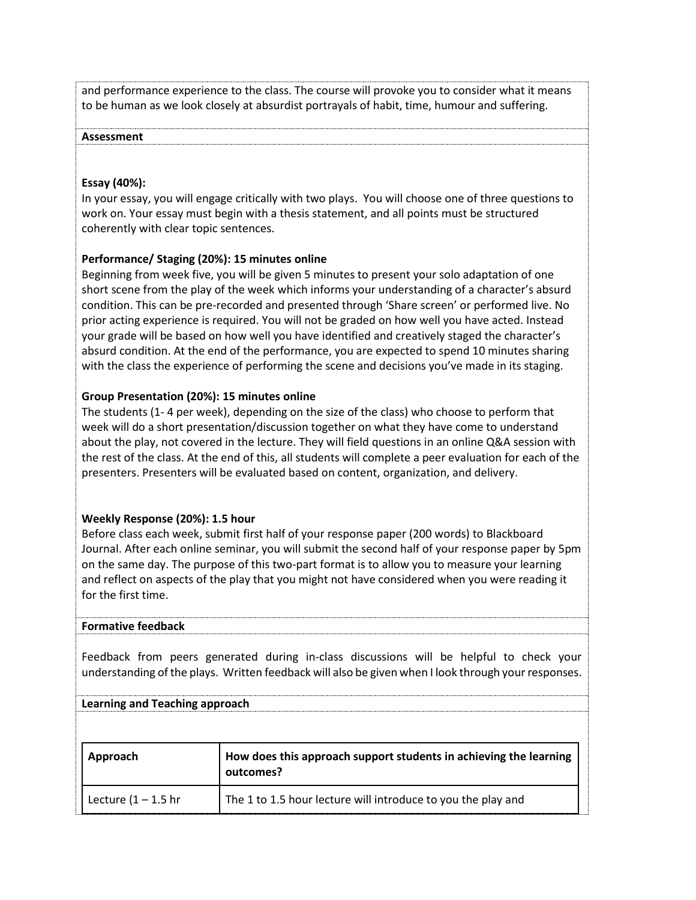and performance experience to the class. The course will provoke you to consider what it means to be human as we look closely at absurdist portrayals of habit, time, humour and suffering.

#### **Assessment**

## **Essay (40%):**

In your essay, you will engage critically with two plays. You will choose one of three questions to work on. Your essay must begin with a thesis statement, and all points must be structured coherently with clear topic sentences.

## **Performance/ Staging (20%): 15 minutes online**

Beginning from week five, you will be given 5 minutes to present your solo adaptation of one short scene from the play of the week which informs your understanding of a character's absurd condition. This can be pre-recorded and presented through 'Share screen' or performed live. No prior acting experience is required. You will not be graded on how well you have acted. Instead your grade will be based on how well you have identified and creatively staged the character's absurd condition. At the end of the performance, you are expected to spend 10 minutes sharing with the class the experience of performing the scene and decisions you've made in its staging.

## **Group Presentation (20%): 15 minutes online**

The students (1- 4 per week), depending on the size of the class) who choose to perform that week will do a short presentation/discussion together on what they have come to understand about the play, not covered in the lecture. They will field questions in an online Q&A session with the rest of the class. At the end of this, all students will complete a peer evaluation for each of the presenters. Presenters will be evaluated based on content, organization, and delivery.

## **Weekly Response (20%): 1.5 hour**

**Learning and Teaching approach**

Before class each week, submit first half of your response paper (200 words) to Blackboard Journal. After each online seminar, you will submit the second half of your response paper by 5pm on the same day. The purpose of this two-part format is to allow you to measure your learning and reflect on aspects of the play that you might not have considered when you were reading it for the first time.

## **Formative feedback**

Feedback from peers generated during in-class discussions will be helpful to check your understanding of the plays. Written feedback will also be given when I look through your responses.

| Approach               | How does this approach support students in achieving the learning<br>outcomes? |
|------------------------|--------------------------------------------------------------------------------|
| Lecture $(1 - 1.5)$ hr | The 1 to 1.5 hour lecture will introduce to you the play and                   |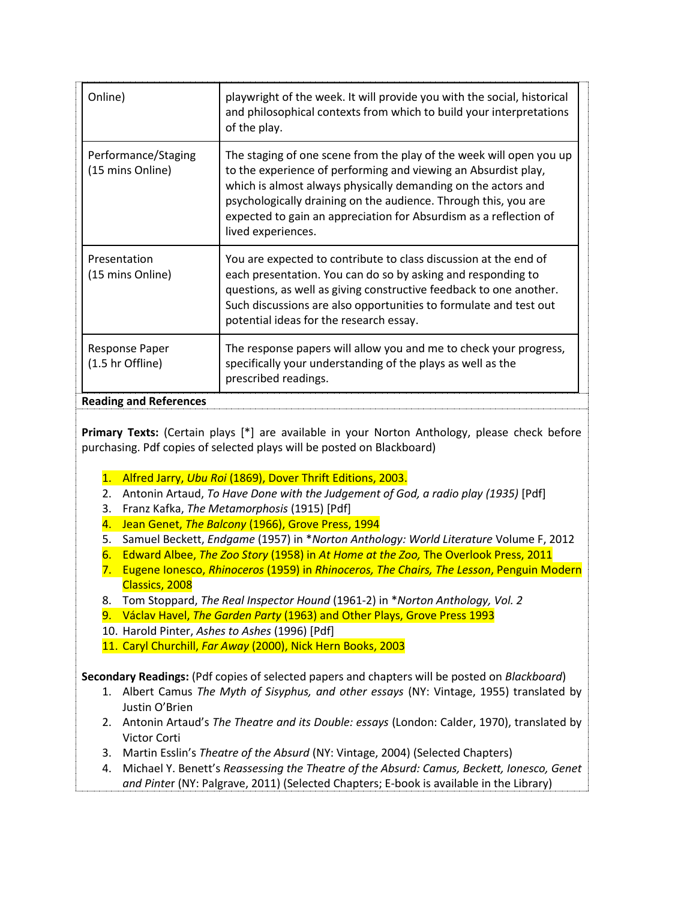| Online)                                 | playwright of the week. It will provide you with the social, historical<br>and philosophical contexts from which to build your interpretations<br>of the play.                                                                                                                                                                                                       |  |
|-----------------------------------------|----------------------------------------------------------------------------------------------------------------------------------------------------------------------------------------------------------------------------------------------------------------------------------------------------------------------------------------------------------------------|--|
| Performance/Staging<br>(15 mins Online) | The staging of one scene from the play of the week will open you up<br>to the experience of performing and viewing an Absurdist play,<br>which is almost always physically demanding on the actors and<br>psychologically draining on the audience. Through this, you are<br>expected to gain an appreciation for Absurdism as a reflection of<br>lived experiences. |  |
| Presentation<br>(15 mins Online)        | You are expected to contribute to class discussion at the end of<br>each presentation. You can do so by asking and responding to<br>questions, as well as giving constructive feedback to one another.<br>Such discussions are also opportunities to formulate and test out<br>potential ideas for the research essay.                                               |  |
| Response Paper<br>(1.5 hr Offline)      | The response papers will allow you and me to check your progress,<br>specifically your understanding of the plays as well as the<br>prescribed readings.                                                                                                                                                                                                             |  |

# **Reading and References**

**Primary Texts:** (Certain plays [\*] are available in your Norton Anthology, please check before purchasing. Pdf copies of selected plays will be posted on Blackboard)

- 1. Alfred Jarry, *Ubu Roi* (1869), Dover Thrift Editions, 2003.
- 2. Antonin Artaud, *To Have Done with the Judgement of God, a radio play (1935)* [Pdf]
- 3. Franz Kafka, *The Metamorphosis* (1915) [Pdf]
- 4. Jean Genet, *The Balcony* (1966), Grove Press, 1994
- 5. Samuel Beckett, *Endgame* (1957) in \**Norton Anthology: World Literature* Volume F, 2012
- 6. Edward Albee, *The Zoo Story* (1958) in *At Home at the Zoo,* The Overlook Press, 2011
- 7. Eugene Ionesco, *Rhinoceros* (1959) in *Rhinoceros, The Chairs, The Lesson*, Penguin Modern Classics, 2008
- 8. Tom Stoppard, *The Real Inspector Hound* (1961-2) in \**Norton Anthology, Vol. 2*
- 9. Václav Havel, *The Garden Party* (1963) and Other Plays, Grove Press 1993
- 10. Harold Pinter, *Ashes to Ashes* (1996) [Pdf]
- 11. Caryl Churchill, *Far Away* (2000), Nick Hern Books, 2003

**Secondary Readings:** (Pdf copies of selected papers and chapters will be posted on *Blackboard*)

- 1. Albert Camus *The Myth of Sisyphus, and other essays* (NY: Vintage, 1955) translated by Justin O'Brien
- 2. Antonin Artaud's *The Theatre and its Double: essays* (London: Calder, 1970), translated by Victor Corti
- 3. Martin Esslin's *Theatre of the Absurd* (NY: Vintage, 2004) (Selected Chapters)
- 4. Michael Y. Benett's *Reassessing the Theatre of the Absurd: Camus, Beckett, Ionesco, Genet and Pinte*r (NY: Palgrave, 2011) (Selected Chapters; E-book is available in the Library)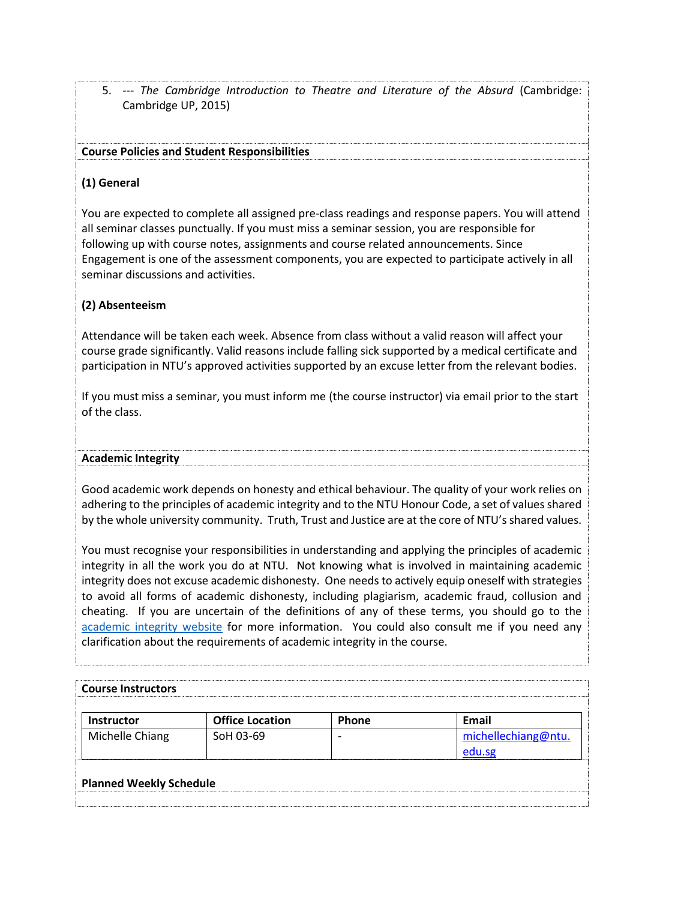5. --- *The Cambridge Introduction to Theatre and Literature of the Absurd* (Cambridge: Cambridge UP, 2015)

# **Course Policies and Student Responsibilities**

## **(1) General**

You are expected to complete all assigned pre-class readings and response papers. You will attend all seminar classes punctually. If you must miss a seminar session, you are responsible for following up with course notes, assignments and course related announcements. Since Engagement is one of the assessment components, you are expected to participate actively in all seminar discussions and activities.

# **(2) Absenteeism**

Attendance will be taken each week. Absence from class without a valid reason will affect your course grade significantly. Valid reasons include falling sick supported by a medical certificate and participation in NTU's approved activities supported by an excuse letter from the relevant bodies.

If you must miss a seminar, you must inform me (the course instructor) via email prior to the start of the class.

#### **Academic Integrity**

Good academic work depends on honesty and ethical behaviour. The quality of your work relies on adhering to the principles of academic integrity and to the NTU Honour Code, a set of values shared by the whole university community. Truth, Trust and Justice are at the core of NTU's shared values.

You must recognise your responsibilities in understanding and applying the principles of academic integrity in all the work you do at NTU. Not knowing what is involved in maintaining academic integrity does not excuse academic dishonesty. One needs to actively equip oneself with strategies to avoid all forms of academic dishonesty, including plagiarism, academic fraud, collusion and cheating. If you are uncertain of the definitions of any of these terms, you should go to the [academic integrity website](http://www.ntu.edu.sg/ai/ForEveryone/Pages/NTUAcademicIntegrityPolicy.aspx) for more information. You could also consult me if you need any clarification about the requirements of academic integrity in the course.

| <b>Office Location</b>         | Phone | <b>Email</b>        |
|--------------------------------|-------|---------------------|
| SoH 03-69                      |       | michellechiang@ntu. |
| <b>Planned Weekly Schedule</b> |       |                     |
|                                |       |                     |